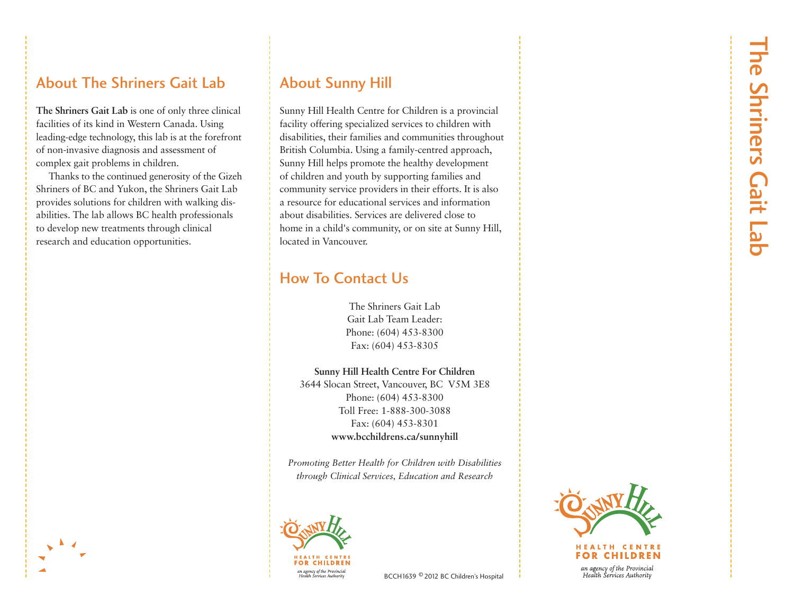### About The Shriners Gait Lab

**The Shriners Gait Lab** is one of only three clinical facilities of its kind in Western Canada. Using leading-edge technology, this lab is at the forefront of non-invasive diagnosis and assessment of complex gait problems in children.

Thanks to the continued generosity of the Gizeh Shriners of BC and Yukon, the Shriners Gait Lab provides solutions for children with walking disabilities. The lab allows BC health professionals to develop new treatments through clinical research and education opportunities.

### About Sunny Hill

Sunny Hill Health Centre for Children is a provincial facility offering specialized services to children with disabilities, their families and communities throughout British Columbia. Using a family-centred approach, Sunny Hill helps promote the healthy development of children and youth by supporting families and community service providers in their efforts. It is also a resource for educational services and information about disabilities. Services are delivered close to home in a child's community, or on site at Sunny Hill, located in Vancouver.

## How To Contact Us

The Shriners Gait Lab Gait Lab Team Leader: Phone: (604) 453-8300 Fax: (604) 453-8305

**Sunny Hill Health Centre For Children** 

3644 Slocan Street, Vancouver, BC V5M 3E8 Phone: (604) 453-8300 Toll Free: 1-888-300-3088 Fax: (604) 453-8301 www.bcchildrens.ca/sunnyhill

*Promoting Better Health for Children with Disabilities through Clinical Services, Education and Research* 





#### HEALTH CENTR FOR CHILDREN

an agency of the Provincial Health Services Authority